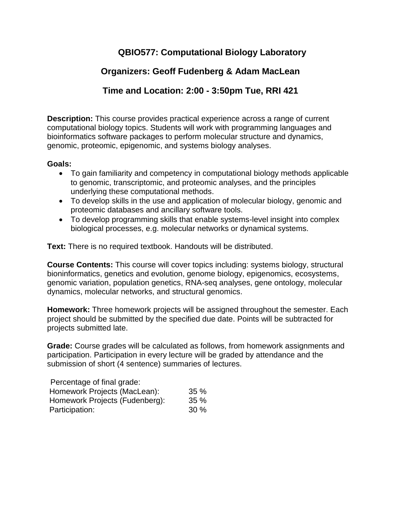# **QBIO577: Computational Biology Laboratory**

# **Organizers: Geoff Fudenberg & Adam MacLean**

# **Time and Location: 2:00 - 3:50pm Tue, RRI 421**

**Description:** This course provides practical experience across a range of current computational biology topics. Students will work with programming languages and bioinformatics software packages to perform molecular structure and dynamics, genomic, proteomic, epigenomic, and systems biology analyses.

## **Goals:**

- To gain familiarity and competency in computational biology methods applicable to genomic, transcriptomic, and proteomic analyses, and the principles underlying these computational methods.
- To develop skills in the use and application of molecular biology, genomic and proteomic databases and ancillary software tools.
- To develop programming skills that enable systems-level insight into complex biological processes, e.g. molecular networks or dynamical systems.

**Text:** There is no required textbook. Handouts will be distributed.

**Course Contents:** This course will cover topics including: systems biology, structural bioninformatics, genetics and evolution, genome biology, epigenomics, ecosystems, genomic variation, population genetics, RNA-seq analyses, gene ontology, molecular dynamics, molecular networks, and structural genomics.

**Homework:** Three homework projects will be assigned throughout the semester. Each project should be submitted by the specified due date. Points will be subtracted for projects submitted late.

**Grade:** Course grades will be calculated as follows, from homework assignments and participation. Participation in every lecture will be graded by attendance and the submission of short (4 sentence) summaries of lectures.

| Percentage of final grade:     |        |
|--------------------------------|--------|
| Homework Projects (MacLean):   | 35%    |
| Homework Projects (Fudenberg): | 35%    |
| Participation:                 | $30\%$ |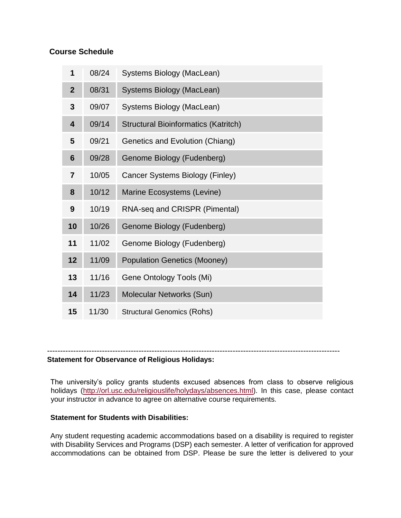## **Course Schedule**

| 1                       | 08/24 | Systems Biology (MacLean)                   |
|-------------------------|-------|---------------------------------------------|
| $\overline{2}$          | 08/31 | Systems Biology (MacLean)                   |
| 3                       | 09/07 | Systems Biology (MacLean)                   |
| $\overline{\mathbf{4}}$ | 09/14 | <b>Structural Bioinformatics (Katritch)</b> |
| 5                       | 09/21 | Genetics and Evolution (Chiang)             |
| 6                       | 09/28 | Genome Biology (Fudenberg)                  |
| $\overline{7}$          | 10/05 | Cancer Systems Biology (Finley)             |
| 8                       | 10/12 | Marine Ecosystems (Levine)                  |
| 9                       | 10/19 | RNA-seq and CRISPR (Pimental)               |
| 10                      | 10/26 | Genome Biology (Fudenberg)                  |
| 11                      | 11/02 | Genome Biology (Fudenberg)                  |
| 12                      | 11/09 | <b>Population Genetics (Mooney)</b>         |
| 13                      | 11/16 | Gene Ontology Tools (Mi)                    |
| 14                      | 11/23 | Molecular Networks (Sun)                    |
| 15                      | 11/30 | <b>Structural Genomics (Rohs)</b>           |

# ----------------------------------------------------------------------------------------------------------------

**Statement for Observance of Religious Holidays:** 

The university's policy grants students excused absences from class to observe religious holidays [\(http://orl.usc.edu/religiouslife/holydays/absences.html\)](http://orl.usc.edu/religiouslife/holydays/absences.html). In this case, please contact your instructor in advance to agree on alternative course requirements.

#### **Statement for Students with Disabilities:**

Any student requesting academic accommodations based on a disability is required to register with Disability Services and Programs (DSP) each semester. A letter of verification for approved accommodations can be obtained from DSP. Please be sure the letter is delivered to your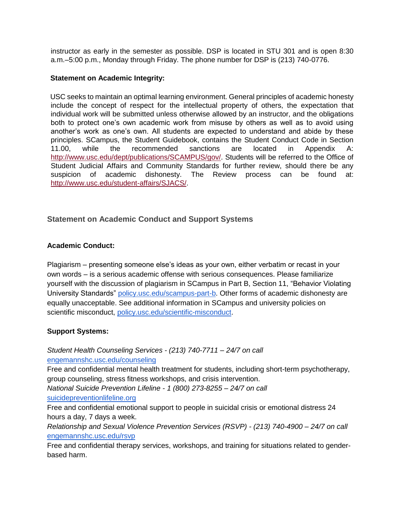instructor as early in the semester as possible. DSP is located in STU 301 and is open 8:30 a.m.–5:00 p.m., Monday through Friday. The phone number for DSP is (213) 740-0776.

#### **Statement on Academic Integrity:**

USC seeks to maintain an optimal learning environment. General principles of academic honesty include the concept of respect for the intellectual property of others, the expectation that individual work will be submitted unless otherwise allowed by an instructor, and the obligations both to protect one's own academic work from misuse by others as well as to avoid using another's work as one's own. All students are expected to understand and abide by these principles. SCampus, the Student Guidebook, contains the Student Conduct Code in Section 11.00, while the recommended sanctions are located in Appendix A: [http://www.usc.edu/dept/publications/SCAMPUS/gov/.](http://www.usc.edu/dept/publications/SCAMPUS/gov/) Students will be referred to the Office of Student Judicial Affairs and Community Standards for further review, should there be any suspicion of academic dishonesty. The Review process can be found at: [http://www.usc.edu/student-affairs/SJACS/.](http://www.usc.edu/student-affairs/SJACS/)

## **Statement on Academic Conduct and Support Systems**

#### **Academic Conduct:**

Plagiarism – presenting someone else's ideas as your own, either verbatim or recast in your own words – is a serious academic offense with serious consequences. Please familiarize yourself with the discussion of plagiarism in SCampus in Part B, Section 11, "Behavior Violating University Standards" [policy.usc.edu/scampus-part-b.](https://policy.usc.edu/scampus-part-b/) Other forms of academic dishonesty are equally unacceptable. See additional information in SCampus and university policies on scientific misconduct, [policy.usc.edu/scientific-misconduct.](http://policy.usc.edu/scientific-misconduct)

#### **Support Systems:**

*Student Health Counseling Services - (213) 740-7711 – 24/7 on call* [engemannshc.usc.edu/counseling](https://engemannshc.usc.edu/counseling/)

Free and confidential mental health treatment for students, including short-term psychotherapy, group counseling, stress fitness workshops, and crisis intervention.

*National Suicide Prevention Lifeline - 1 (800) 273-8255 – 24/7 on call* [suicidepreventionlifeline.org](http://www.suicidepreventionlifeline.org/)

Free and confidential emotional support to people in suicidal crisis or emotional distress 24 hours a day, 7 days a week.

*Relationship and Sexual Violence Prevention Services (RSVP) - (213) 740-4900 – 24/7 on call* [engemannshc.usc.edu/rsvp](https://engemannshc.usc.edu/rsvp/)

Free and confidential therapy services, workshops, and training for situations related to genderbased harm.